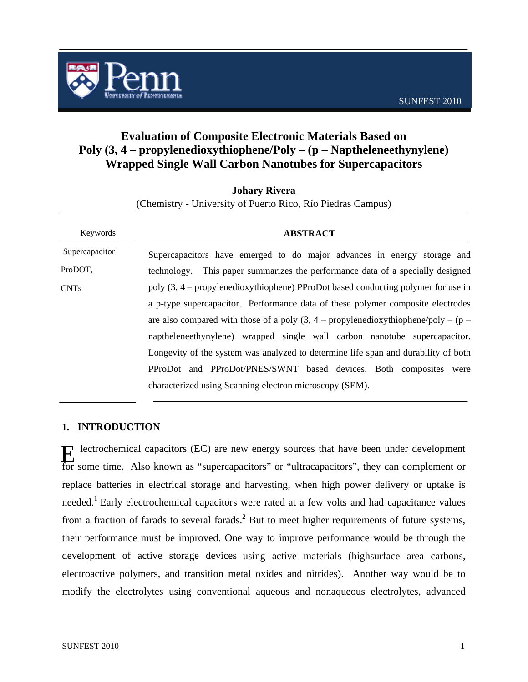

# **Evaluation of Composite Electronic Materials Based on Poly (3, 4 – propylenedioxythiophene/Poly – (p – Naptheleneethynylene) Wrapped Single Wall Carbon Nanotubes for Supercapacitors**

**Johary Rivera** 

| Keywords                                                                           | <b>ABSTRACT</b>                                                                                                                                                                                                                                                |  |  |  |  |  |  |
|------------------------------------------------------------------------------------|----------------------------------------------------------------------------------------------------------------------------------------------------------------------------------------------------------------------------------------------------------------|--|--|--|--|--|--|
| Supercapacitor                                                                     | Supercapacitors have emerged to do major advances in energy storage and                                                                                                                                                                                        |  |  |  |  |  |  |
| ProDOT.                                                                            | This paper summarizes the performance data of a specially designed<br>technology.                                                                                                                                                                              |  |  |  |  |  |  |
| <b>CNTs</b>                                                                        | poly (3, 4 – propylenedioxythiophene) PProDot based conducting polymer for use in<br>a p-type supercapacitor. Performance data of these polymer composite electrodes<br>are also compared with those of a poly $(3, 4 -$ propylenedioxythiophene/poly – $(p -$ |  |  |  |  |  |  |
|                                                                                    |                                                                                                                                                                                                                                                                |  |  |  |  |  |  |
|                                                                                    |                                                                                                                                                                                                                                                                |  |  |  |  |  |  |
| naptheleneethynylene) wrapped single wall carbon nanotube supercapacitor.          |                                                                                                                                                                                                                                                                |  |  |  |  |  |  |
| Longevity of the system was analyzed to determine life span and durability of both |                                                                                                                                                                                                                                                                |  |  |  |  |  |  |
|                                                                                    | PProDot and PProDot/PNES/SWNT based devices. Both composites were                                                                                                                                                                                              |  |  |  |  |  |  |
| characterized using Scanning electron microscopy (SEM).                            |                                                                                                                                                                                                                                                                |  |  |  |  |  |  |

## **1. INTRODUCTION**

 lectrochemical capacitors (EC) are new energy sources that have been under development Extrochemical capacitors (EC) are new energy sources that have been under development<br>for some time. Also known as "supercapacitors" or "ultracapacitors", they can complement or replace batteries in electrical storage and harvesting, when high power delivery or uptake is needed.<sup>1</sup> Early electrochemical capacitors were rated at a few volts and had capacitance values from a fraction of farads to several farads.<sup>2</sup> But to meet higher requirements of future systems, their performance must be improved. One way to improve performance would be through the development of active storage devices using active materials (highsurface area carbons, electroactive polymers, and transition metal oxides and nitrides). Another way would be to modify the electrolytes using conventional aqueous and nonaqueous electrolytes, advanced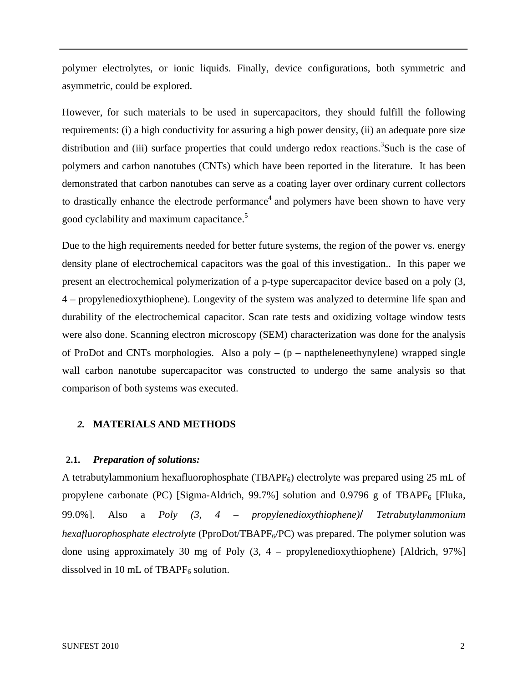polymer electrolytes, or ionic liquids. Finally, device configurations, both symmetric and asymmetric, could be explored.

However, for such materials to be used in supercapacitors, they should fulfill the following requirements: (i) a high conductivity for assuring a high power density, (ii) an adequate pore size distribution and (iii) surface properties that could undergo redox reactions.<sup>3</sup>Such is the case of polymers and carbon nanotubes (CNTs) which have been reported in the literature. It has been demonstrated that carbon nanotubes can serve as a coating layer over ordinary current collectors to drastically enhance the electrode performance<sup>4</sup> and polymers have been shown to have very good cyclability and maximum capacitance.<sup>5</sup>

Due to the high requirements needed for better future systems, the region of the power vs. energy density plane of electrochemical capacitors was the goal of this investigation.. In this paper we present an electrochemical polymerization of a p-type supercapacitor device based on a poly (3, 4 – propylenedioxythiophene). Longevity of the system was analyzed to determine life span and durability of the electrochemical capacitor. Scan rate tests and oxidizing voltage window tests were also done. Scanning electron microscopy (SEM) characterization was done for the analysis of ProDot and CNTs morphologies. Also a poly  $-(p -$  naptheleneethynylene) wrapped single wall carbon nanotube supercapacitor was constructed to undergo the same analysis so that comparison of both systems was executed.

### *2.* **MATERIALS AND METHODS**

#### **2.1.** *Preparation of solutions:*

A tetrabutylammonium hexafluorophosphate (TBAP $F_6$ ) electrolyte was prepared using 25 mL of propylene carbonate (PC) [Sigma-Aldrich, 99.7%] solution and 0.9796 g of TBAPF<sub>6</sub> [Fluka, 99.0%]. Also a *Poly (3, 4 – propylenedioxythiophene)***/** *Tetrabutylammonium hexafluorophosphate electrolyte* (PproDot/TBAPF<sub>6</sub>/PC) was prepared. The polymer solution was done using approximately 30 mg of Poly (3, 4 – propylenedioxythiophene) [Aldrich, 97%] dissolved in 10 mL of TBAP $F_6$  solution.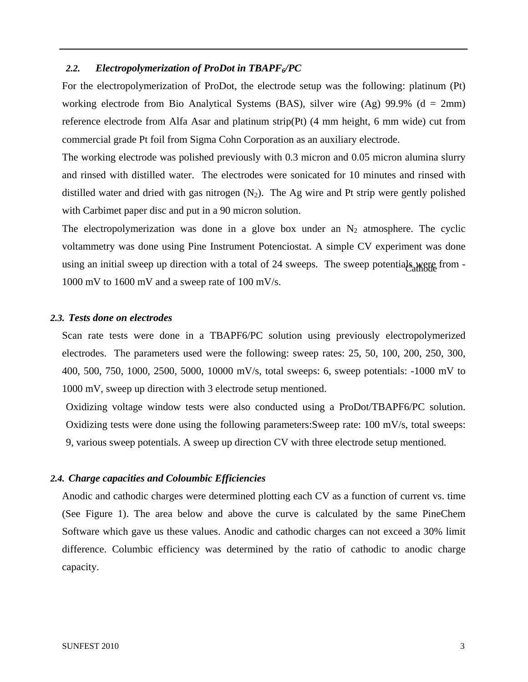#### 2.2. *Electropolymerization of ProDot in TBAPF<sub>6</sub>/PC*

For the electropolymerization of ProDot, the electrode setup was the following: platinum (Pt) working electrode from Bio Analytical Systems (BAS), silver wire  $(Ag)$  99.9% (d = 2mm) reference electrode from Alfa Asar and platinum strip(Pt) (4 mm height, 6 mm wide) cut from commercial grade Pt foil from Sigma Cohn Corporation as an auxiliary electrode.

The working electrode was polished previously with 0.3 micron and 0.05 micron alumina slurry and rinsed with distilled water. The electrodes were sonicated for 10 minutes and rinsed with distilled water and dried with gas nitrogen  $(N_2)$ . The Ag wire and Pt strip were gently polished with Carbimet paper disc and put in a 90 micron solution.

The electropolymerization was done in a glove box under an  $N_2$  atmosphere. The cyclic voltammetry was done using Pine Instrument Potenciostat. A simple CV experiment was done using an initial sweep up direction with a total of 24 sweeps. The sweep potentials were from -1000 mV to 1600 mV and a sweep rate of 100 mV/s.

#### *2.3. Tests done on electrodes*

Scan rate tests were done in a TBAPF6/PC solution using previously electropolymerized electrodes. The parameters used were the following: sweep rates: 25, 50, 100, 200, 250, 300, 400, 500, 750, 1000, 2500, 5000, 10000 mV/s, total sweeps: 6, sweep potentials: -1000 mV to 1000 mV, sweep up direction with 3 electrode setup mentioned.

Oxidizing voltage window tests were also conducted using a ProDot/TBAPF6/PC solution. Oxidizing tests were done using the following parameters:Sweep rate: 100 mV/s, total sweeps: 9, various sweep potentials. A sweep up direction CV with three electrode setup mentioned.

### *2.4. Charge capacities and Coloumbic Efficiencies*

Anodic and cathodic charges were determined plotting each CV as a function of current vs. time (See Figure 1). The area below and above the curve is calculated by the same PineChem Software which gave us these values. Anodic and cathodic charges can not exceed a 30% limit difference. Columbic efficiency was determined by the ratio of cathodic to anodic charge capacity.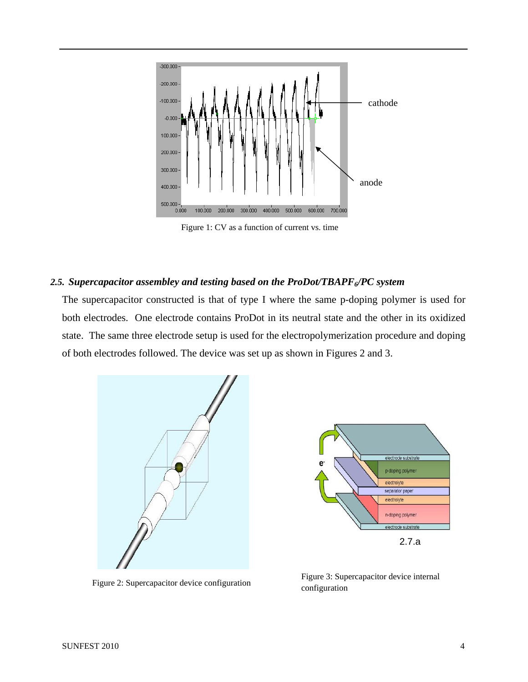

Figure 1: CV as a function of current vs. time

### 2.5. Supercapacitor assembley and testing based on the ProDot/TBAPF<sub>6</sub>/PC system

The supercapacitor constructed is that of type I where the same p-doping polymer is used for both electrodes. One electrode contains ProDot in its neutral state and the other in its oxidized state. The same three electrode setup is used for the electropolymerization procedure and doping of both electrodes followed. The device was set up as shown in Figures 2 and 3.





Figure 2: Supercapacitor device configuration Figure 3: Supercapacitor device internal configuration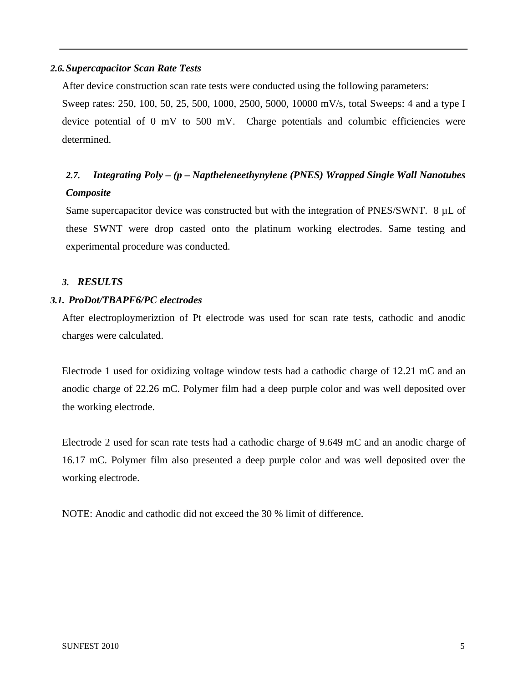### *2.6.Supercapacitor Scan Rate Tests*

After device construction scan rate tests were conducted using the following parameters:

Sweep rates: 250, 100, 50, 25, 500, 1000, 2500, 5000, 10000 mV/s, total Sweeps: 4 and a type I device potential of 0 mV to 500 mV. Charge potentials and columbic efficiencies were determined.

# *2.7. Integrating Poly – (p – Naptheleneethynylene (PNES) Wrapped Single Wall Nanotubes Composite*

Same supercapacitor device was constructed but with the integration of PNES/SWNT.  $8 \mu L$  of these SWNT were drop casted onto the platinum working electrodes. Same testing and experimental procedure was conducted.

## *3. RESULTS*

## *3.1. ProDot/TBAPF6/PC electrodes*

After electroploymeriztion of Pt electrode was used for scan rate tests, cathodic and anodic charges were calculated.

Electrode 1 used for oxidizing voltage window tests had a cathodic charge of 12.21 mC and an anodic charge of 22.26 mC. Polymer film had a deep purple color and was well deposited over the working electrode.

Electrode 2 used for scan rate tests had a cathodic charge of 9.649 mC and an anodic charge of 16.17 mC. Polymer film also presented a deep purple color and was well deposited over the working electrode.

NOTE: Anodic and cathodic did not exceed the 30 % limit of difference.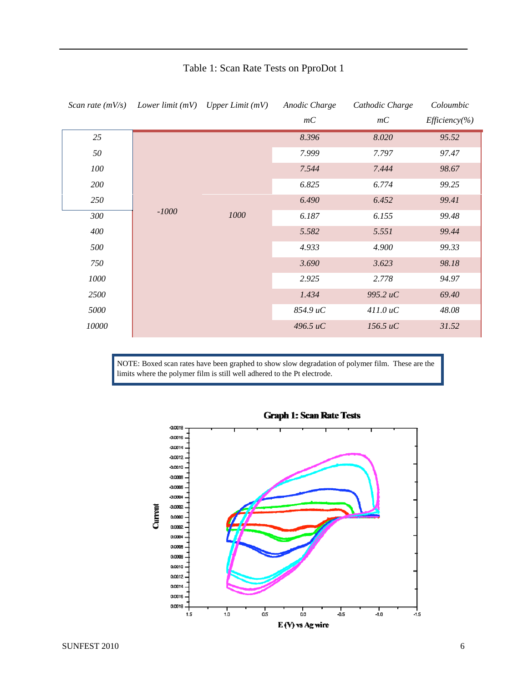| Scan rate $(mV/s)$ |         | Lower limit $(mV)$ Upper Limit $(mV)$ | Anodic Charge  | Cathodic Charge | Coloumbic         |
|--------------------|---------|---------------------------------------|----------------|-----------------|-------------------|
|                    |         |                                       | mC             | mC              | $Efficiency(\% )$ |
| 25                 |         |                                       | 8.396          | 8.020           | 95.52             |
| 50                 |         |                                       | 7.999          | 7.797           | 97.47             |
| 100                |         |                                       | 7.544          | 7.444           | 98.67             |
| 200                |         |                                       | 6.825<br>6.774 |                 | 99.25             |
| 250                | $-1000$ | 1000                                  | 6.490          | 6.452           | 99.41             |
| 300                |         |                                       | 6.187          | 6.155           | 99.48             |
| 400                |         |                                       | 5.582          | 5.551           | 99.44             |
| 500                |         |                                       | 4.933          | 4.900           | 99.33             |
| 750                |         |                                       | 3.690          | 3.623           | 98.18             |
| 1000               |         |                                       | 2.925          | 2.778           | 94.97             |
| 2500               |         |                                       | 1.434          | 995.2 uC        | 69.40             |
| 5000               |         |                                       | 854.9 uC       | 411.0 uC        | 48.08             |
| 10000              |         |                                       | 496.5 uC       | 156.5 uC        | 31.52             |

# Table 1: Scan Rate Tests on PproDot 1

NOTE: Boxed scan rates have been graphed to show slow degradation of polymer film. These are the limits where the polymer film is still well adhered to the Pt electrode.



## **Graph 1: Scan Rate Tests**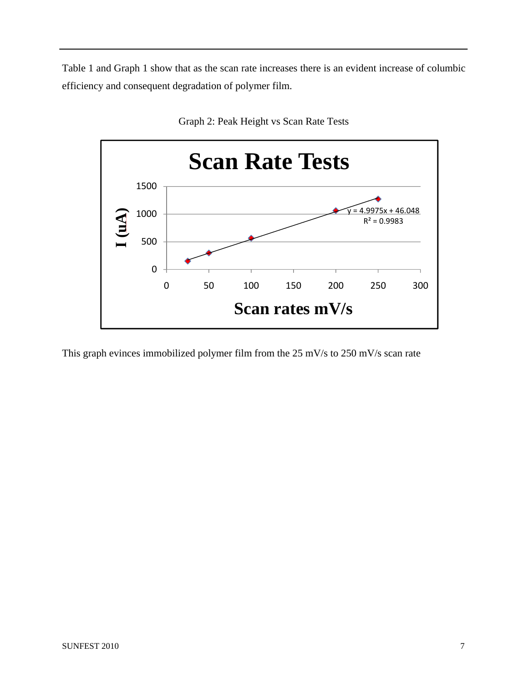Table 1 and Graph 1 show that as the scan rate increases there is an evident increase of columbic efficiency and consequent degradation of polymer film.



Graph 2: Peak Height vs Scan Rate Tests

This graph evinces immobilized polymer film from the 25 mV/s to 250 mV/s scan rate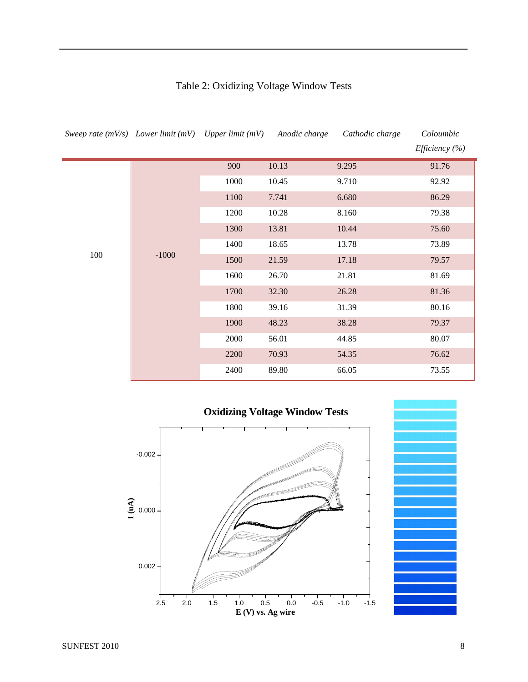| Sweep rate $(mV/s)$ Lower limit $(mV)$ Upper limit $(mV)$ |         |      | Anodic charge | Cathodic charge | Coloumbic                                                            |
|-----------------------------------------------------------|---------|------|---------------|-----------------|----------------------------------------------------------------------|
|                                                           |         |      |               |                 | <i>Efficiency</i> $(\%)$                                             |
|                                                           |         | 900  | 10.13         | 9.295           | 91.76                                                                |
|                                                           |         | 1000 | 10.45         | 9.710           | 92.92                                                                |
|                                                           |         | 1100 | 7.741         | 6.680           | 86.29                                                                |
|                                                           |         | 1200 | 10.28         | 8.160           | 79.38<br>75.60<br>73.89<br>79.57<br>81.69<br>81.36<br>80.16<br>79.37 |
|                                                           | $-1000$ | 1300 | 13.81         | 10.44           |                                                                      |
| 100                                                       |         | 1400 | 18.65         | 13.78           |                                                                      |
|                                                           |         | 1500 | 21.59         | 17.18           |                                                                      |
|                                                           |         | 1600 | 26.70         | 21.81           |                                                                      |
|                                                           |         | 1700 | 32.30         | 26.28           |                                                                      |
|                                                           |         | 1800 | 39.16         | 31.39           | 80.07<br>76.62<br>73.55                                              |
|                                                           |         | 1900 | 48.23         | 38.28           |                                                                      |
|                                                           |         | 2000 | 56.01         | 44.85           |                                                                      |
|                                                           |         | 2200 | 70.93         | 54.35           |                                                                      |
|                                                           |         | 2400 | 89.80         | 66.05           |                                                                      |

# Table 2: Oxidizing Voltage Window Tests



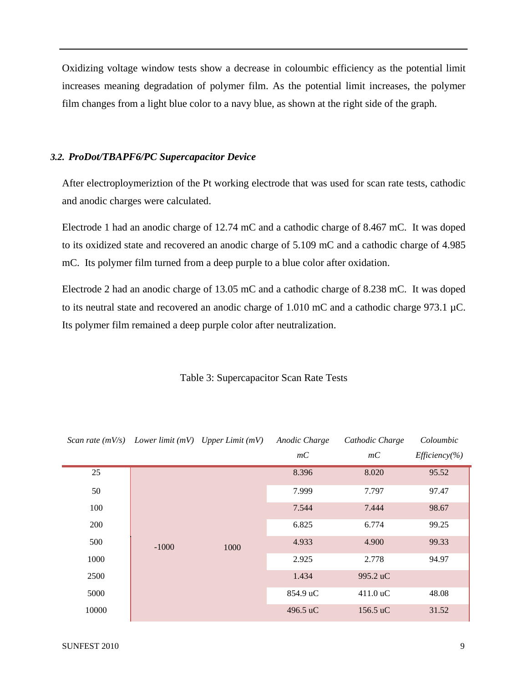Oxidizing voltage window tests show a decrease in coloumbic efficiency as the potential limit increases meaning degradation of polymer film. As the potential limit increases, the polymer film changes from a light blue color to a navy blue, as shown at the right side of the graph.

#### *3.2. ProDot/TBAPF6/PC Supercapacitor Device*

After electroploymeriztion of the Pt working electrode that was used for scan rate tests, cathodic and anodic charges were calculated.

Electrode 1 had an anodic charge of 12.74 mC and a cathodic charge of 8.467 mC. It was doped to its oxidized state and recovered an anodic charge of 5.109 mC and a cathodic charge of 4.985 mC. Its polymer film turned from a deep purple to a blue color after oxidation.

Electrode 2 had an anodic charge of 13.05 mC and a cathodic charge of 8.238 mC. It was doped to its neutral state and recovered an anodic charge of 1.010 mC and a cathodic charge 973.1 µC. Its polymer film remained a deep purple color after neutralization.

|       | Scan rate $(mV/s)$ Lower limit $(mV)$ Upper Limit $(mV)$ |      | Anodic Charge | Cathodic Charge | Coloumbic         |       |
|-------|----------------------------------------------------------|------|---------------|-----------------|-------------------|-------|
|       |                                                          |      | mC            | mC              | $Efficiency(\% )$ |       |
| 25    |                                                          |      |               | 8.396           | 8.020             | 95.52 |
| 50    |                                                          |      | 7.999         | 7.797           | 97.47             |       |
| 100   |                                                          |      | 7.544         | 7.444           | 98.67             |       |
| 200   |                                                          |      | 6.825         | 6.774           | 99.25             |       |
| 500   | $-1000$                                                  | 1000 | 4.933         | 4.900           | 99.33             |       |
| 1000  |                                                          |      | 2.925         | 2.778           | 94.97             |       |
| 2500  |                                                          |      | 1.434         | 995.2 uC        |                   |       |
| 5000  |                                                          |      | 854.9 uC      | 411.0 uC        | 48.08             |       |
| 10000 |                                                          |      | 496.5 uC      | 156.5 uC        | 31.52             |       |

Table 3: Supercapacitor Scan Rate Tests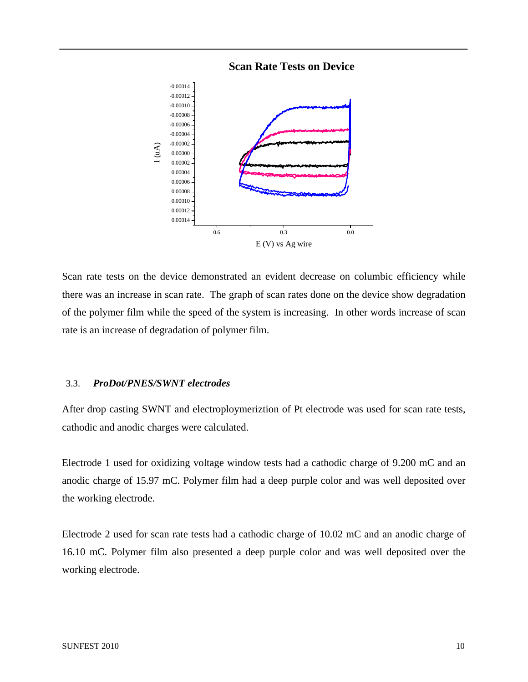



Scan rate tests on the device demonstrated an evident decrease on columbic efficiency while there was an increase in scan rate. The graph of scan rates done on the device show degradation of the polymer film while the speed of the system is increasing. In other words increase of scan rate is an increase of degradation of polymer film.

### 3.3. *ProDot/PNES/SWNT electrodes*

After drop casting SWNT and electroploymeriztion of Pt electrode was used for scan rate tests, cathodic and anodic charges were calculated.

Electrode 1 used for oxidizing voltage window tests had a cathodic charge of 9.200 mC and an anodic charge of 15.97 mC. Polymer film had a deep purple color and was well deposited over the working electrode.

Electrode 2 used for scan rate tests had a cathodic charge of 10.02 mC and an anodic charge of 16.10 mC. Polymer film also presented a deep purple color and was well deposited over the working electrode.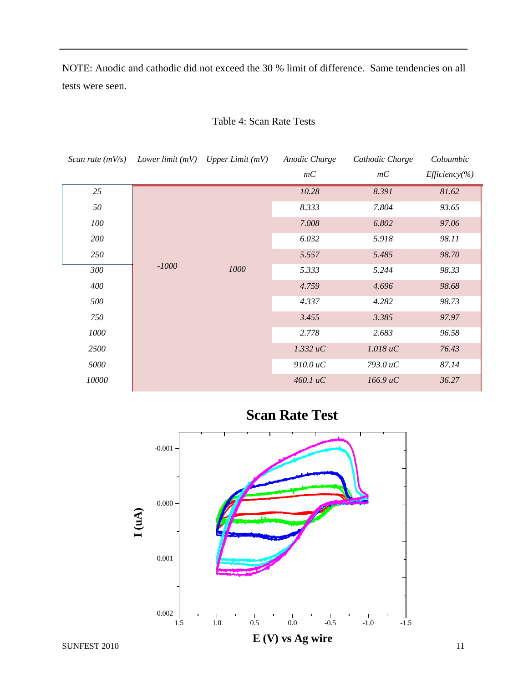NOTE: Anodic and cathodic did not exceed the 30 % limit of difference. Same tendencies on all tests were seen.

| Scan rate $(mV/s)$ |         | Lower limit $(mV)$ Upper Limit $(mV)$ | Anodic Charge | Cathodic Charge | Coloumbic         |
|--------------------|---------|---------------------------------------|---------------|-----------------|-------------------|
|                    |         |                                       | mC            | mC              | $Efficiency(\% )$ |
| 25                 |         |                                       | 10.28         | 8.391           | 81.62             |
| 50                 |         |                                       | 8.333         | 7.804           | 93.65             |
| 100                |         |                                       | 7.008         | 6.802           | 97.06             |
| 200                |         |                                       | 6.032         | 5.918           | 98.11             |
| 250                |         |                                       | 5.557         | 5.485           | 98.70             |
| 300                | $-1000$ | 1000                                  | 5.333         | 5.244           | 98.33             |
| 400                |         |                                       | 4.759         | 4.696           | 98.68             |
| 500                |         |                                       | 4.337         | 4.282           | 98.73             |
| 750                |         |                                       | 3.455         | 3.385           | 97.97             |
| 1000               |         |                                       | 2.778         | 2.683           | 96.58             |
| 2500               |         |                                       | 1.332 uC      | 1.018 uC        | 76.43             |
| 5000               |         |                                       | 910.0 uC      | 793.0 uC        | 87.14             |
| 10000              |         |                                       | 460.1 uC      | 166.9 uC        | 36.27             |

## Table 4: Scan Rate Tests



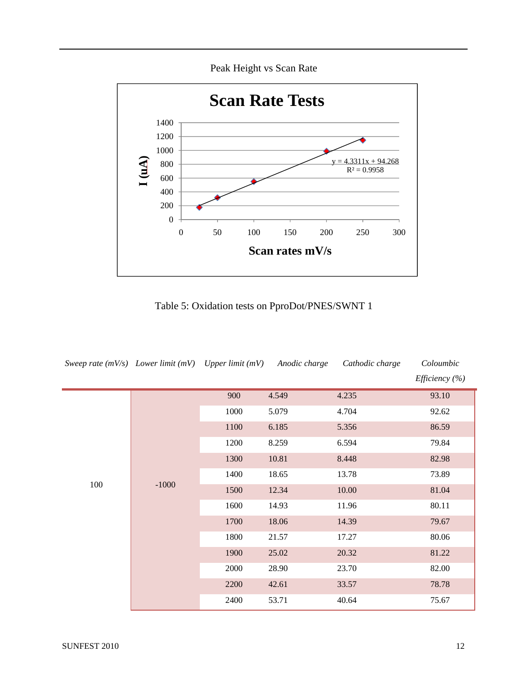Peak Height vs Scan Rate



Table 5: Oxidation tests on PproDot/PNES/SWNT 1

| Sweep rate $(mV/s)$ Lower limit $(mV)$ Upper limit $(mV)$ |         |      | Anodic charge | Cathodic charge | Coloumbic<br>Efficiency $(\% )$           |
|-----------------------------------------------------------|---------|------|---------------|-----------------|-------------------------------------------|
|                                                           |         | 900  | 4.549         | 4.235           | 93.10                                     |
|                                                           |         | 1000 | 5.079         | 4.704           | 92.62                                     |
|                                                           |         | 1100 | 6.185         | 5.356           | 86.59                                     |
|                                                           |         | 1200 | 8.259         | 6.594           | 79.84                                     |
| 100                                                       |         | 1300 | 10.81         | 8.448           | 82.98<br>73.89<br>81.04<br>80.11<br>79.67 |
|                                                           |         | 1400 | 18.65         | 13.78           |                                           |
|                                                           | $-1000$ | 1500 | 12.34         | 10.00           | 80.06<br>81.22                            |
|                                                           |         | 1600 | 14.93         | 11.96           |                                           |
|                                                           |         | 1700 | 18.06         | 14.39           |                                           |
|                                                           |         | 1800 | 21.57         | 17.27           |                                           |
|                                                           |         | 1900 | 25.02         | 20.32           |                                           |
|                                                           |         | 2000 | 28.90         | 23.70           | 82.00                                     |
|                                                           |         | 2200 | 42.61         | 33.57           | 78.78                                     |
|                                                           |         | 2400 | 53.71         | 40.64           | 75.67                                     |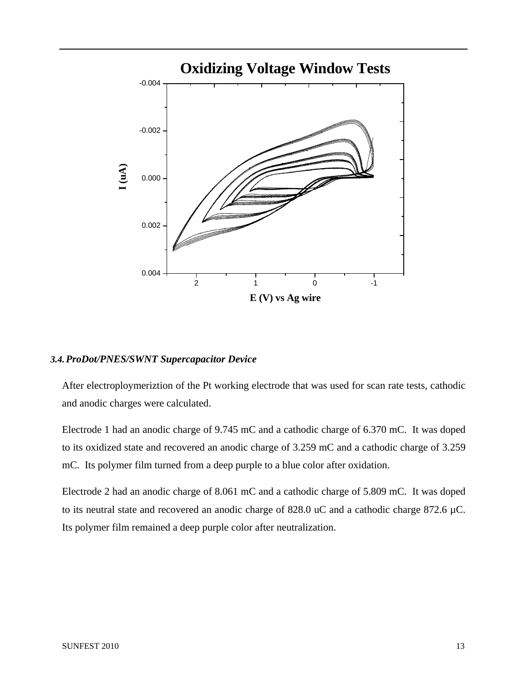

### *3.4.ProDot/PNES/SWNT Supercapacitor Device*

After electroploymeriztion of the Pt working electrode that was used for scan rate tests, cathodic and anodic charges were calculated.

Electrode 1 had an anodic charge of 9.745 mC and a cathodic charge of 6.370 mC. It was doped to its oxidized state and recovered an anodic charge of 3.259 mC and a cathodic charge of 3.259 mC. Its polymer film turned from a deep purple to a blue color after oxidation.

Electrode 2 had an anodic charge of 8.061 mC and a cathodic charge of 5.809 mC. It was doped to its neutral state and recovered an anodic charge of 828.0 uC and a cathodic charge 872.6 µC. Its polymer film remained a deep purple color after neutralization.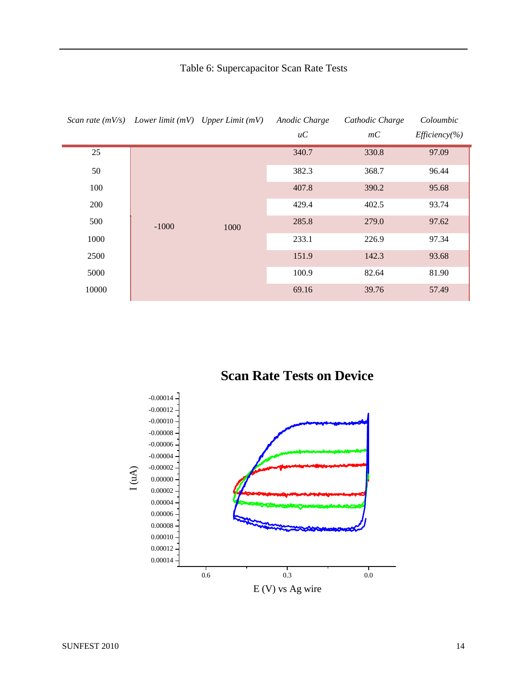# Table 6: Supercapacitor Scan Rate Tests

|       | Scan rate $(mV/s)$ Lower limit $(mV)$ Upper Limit $(mV)$ |                | Anodic Charge | Cathodic Charge | Coloumbic         |
|-------|----------------------------------------------------------|----------------|---------------|-----------------|-------------------|
|       |                                                          |                | $\mu C$       | mC              | $Efficiency(\% )$ |
| 25    |                                                          |                | 340.7         | 330.8           | 97.09             |
| 50    |                                                          |                | 382.3         | 368.7<br>390.2  | 96.44             |
| 100   |                                                          |                | 407.8         |                 | 95.68             |
| 200   |                                                          |                | 429.4         | 402.5           | 93.74             |
| 500   | $-1000$                                                  | 1000           | 285.8         | 279.0           | 97.62             |
| 1000  |                                                          |                | 233.1         | 226.9           | 97.34             |
| 2500  |                                                          | 151.9<br>100.9 | 142.3         | 93.68           |                   |
| 5000  |                                                          |                |               | 82.64           | 81.90             |
| 10000 |                                                          |                | 69.16         | 39.76           | 57.49             |

**Scan Rate Tests on Device**



E (V) vs Ag wire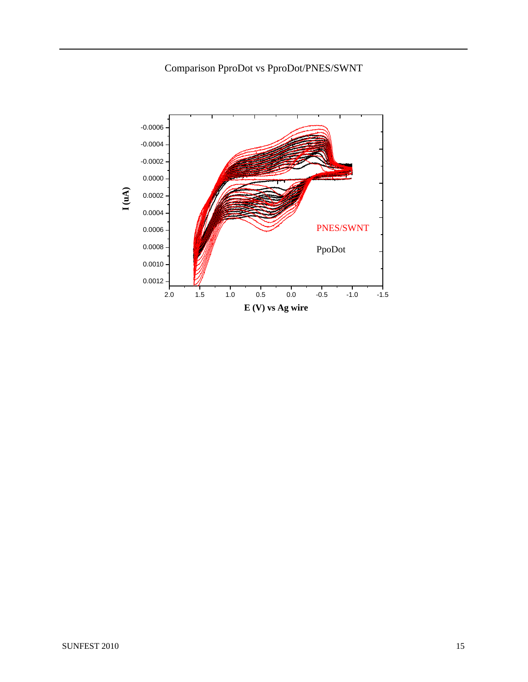# Comparison PproDot vs PproDot/PNES/SWNT

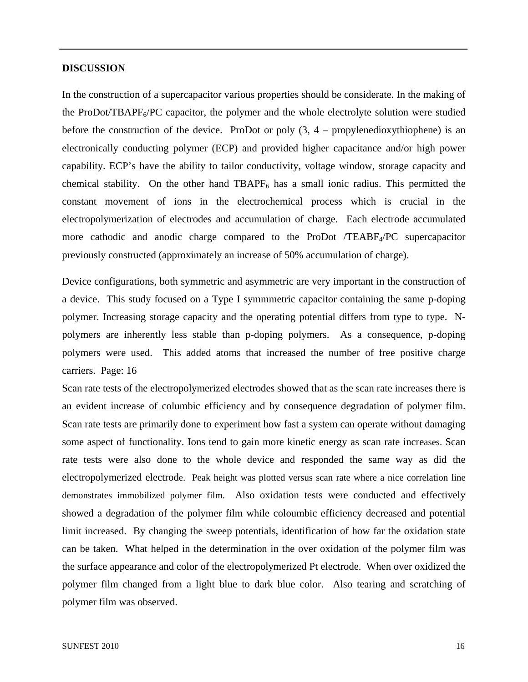#### **DISCUSSION**

In the construction of a supercapacitor various properties should be considerate. In the making of the ProDot/TBAPF<sub>6</sub>/PC capacitor, the polymer and the whole electrolyte solution were studied before the construction of the device. ProDot or poly  $(3, 4$  – propylenedioxythiophene) is an electronically conducting polymer (ECP) and provided higher capacitance and/or high power capability. ECP's have the ability to tailor conductivity, voltage window, storage capacity and chemical stability. On the other hand  $TBAPF<sub>6</sub>$  has a small ionic radius. This permitted the constant movement of ions in the electrochemical process which is crucial in the electropolymerization of electrodes and accumulation of charge. Each electrode accumulated more cathodic and anodic charge compared to the ProDot /TEABF4/PC supercapacitor previously constructed (approximately an increase of 50% accumulation of charge).

Device configurations, both symmetric and asymmetric are very important in the construction of a device. This study focused on a Type I symmmetric capacitor containing the same p-doping polymer. Increasing storage capacity and the operating potential differs from type to type. Npolymers are inherently less stable than p-doping polymers. As a consequence, p-doping polymers were used. This added atoms that increased the number of free positive charge carriers. Page: 16

Scan rate tests of the electropolymerized electrodes showed that as the scan rate increases there is an evident increase of columbic efficiency and by consequence degradation of polymer film. Scan rate tests are primarily done to experiment how fast a system can operate without damaging some aspect of functionality. Ions tend to gain more kinetic energy as scan rate increases. Scan rate tests were also done to the whole device and responded the same way as did the electropolymerized electrode. Peak height was plotted versus scan rate where a nice correlation line demonstrates immobilized polymer film. Also oxidation tests were conducted and effectively showed a degradation of the polymer film while coloumbic efficiency decreased and potential limit increased. By changing the sweep potentials, identification of how far the oxidation state can be taken. What helped in the determination in the over oxidation of the polymer film was the surface appearance and color of the electropolymerized Pt electrode. When over oxidized the polymer film changed from a light blue to dark blue color. Also tearing and scratching of polymer film was observed.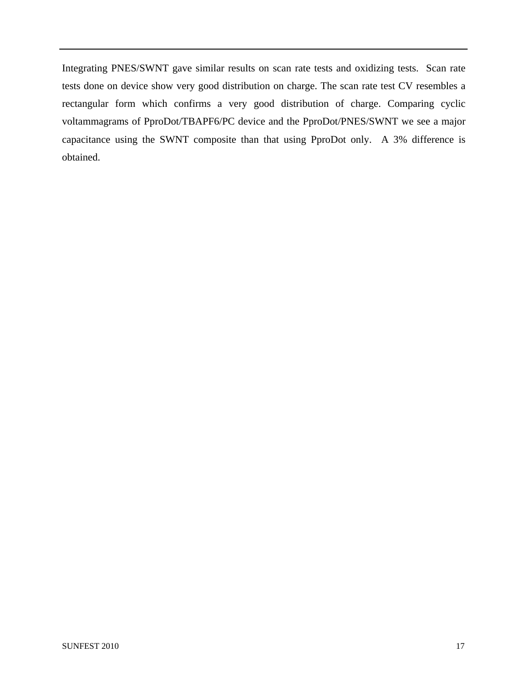Integrating PNES/SWNT gave similar results on scan rate tests and oxidizing tests. Scan rate tests done on device show very good distribution on charge. The scan rate test CV resembles a rectangular form which confirms a very good distribution of charge. Comparing cyclic voltammagrams of PproDot/TBAPF6/PC device and the PproDot/PNES/SWNT we see a major capacitance using the SWNT composite than that using PproDot only. A 3% difference is obtained.